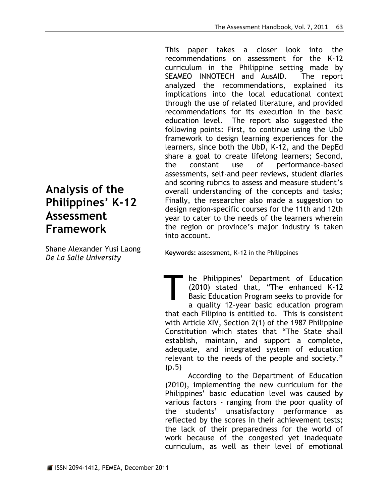This paper takes a closer look into the recommendations on assessment for the K-12 curriculum in the Philippine setting made by SEAMEO INNOTECH and AusAID. The report analyzed the recommendations, explained its implications into the local educational context through the use of related literature, and provided recommendations for its execution in the basic education level. The report also suggested the following points: First, to continue using the UbD framework to design learning experiences for the learners, since both the UbD, K-12, and the DepEd share a goal to create lifelong learners; Second, the constant use of performance-based assessments, self-and peer reviews, student diaries and scoring rubrics to assess and measure student's overall understanding of the concepts and tasks; Finally, the researcher also made a suggestion to design region-specific courses for the 11th and 12th year to cater to the needs of the learners wherein the region or province's major industry is taken into account.

**Analysis of the Philippines' K-12 Assessment Framework**

Shane Alexander Yusi Laong *De La Salle University* 

**Keywords:** assessment, K-12 in the Philippines

he Philippines' Department of Education (2010) stated that, "The enhanced K-12 Basic Education Program seeks to provide for a quality 12-year basic education program that each Filipino is entitled to. This is consistent with Article XIV, Section 2(1) of the 1987 Philippine Constitution which states that "The State shall establish, maintain, and support a complete, adequate, and integrated system of education relevant to the needs of the people and society." (p.5) T

According to the Department of Education (2010), implementing the new curriculum for the Philippines' basic education level was caused by various factors - ranging from the poor quality of the students' unsatisfactory performance as reflected by the scores in their achievement tests; the lack of their preparedness for the world of work because of the congested yet inadequate curriculum, as well as their level of emotional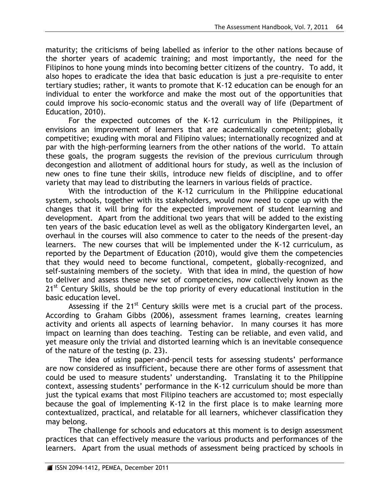maturity; the criticisms of being labelled as inferior to the other nations because of the shorter years of academic training; and most importantly, the need for the Filipinos to hone young minds into becoming better citizens of the country. To add, it also hopes to eradicate the idea that basic education is just a pre-requisite to enter tertiary studies; rather, it wants to promote that K-12 education can be enough for an individual to enter the workforce and make the most out of the opportunities that could improve his socio-economic status and the overall way of life (Department of Education, 2010).

For the expected outcomes of the K-12 curriculum in the Philippines, it envisions an improvement of learners that are academically competent; globally competitive; exuding with moral and Filipino values; internationally recognized and at par with the high-performing learners from the other nations of the world. To attain these goals, the program suggests the revision of the previous curriculum through decongestion and allotment of additional hours for study, as well as the inclusion of new ones to fine tune their skills, introduce new fields of discipline, and to offer variety that may lead to distributing the learners in various fields of practice.

With the introduction of the K-12 curriculum in the Philippine educational system, schools, together with its stakeholders, would now need to cope up with the changes that it will bring for the expected improvement of student learning and development. Apart from the additional two years that will be added to the existing ten years of the basic education level as well as the obligatory Kindergarten level, an overhaul in the courses will also commence to cater to the needs of the present-day learners. The new courses that will be implemented under the K-12 curriculum, as reported by the Department of Education (2010), would give them the competencies that they would need to become functional, competent, globally-recognized, and self-sustaining members of the society. With that idea in mind, the question of how to deliver and assess these new set of competencies, now collectively known as the  $21<sup>st</sup>$  Century Skills, should be the top priority of every educational institution in the basic education level.

Assessing if the  $21^{st}$  Century skills were met is a crucial part of the process. According to Graham Gibbs (2006), assessment frames learning, creates learning activity and orients all aspects of learning behavior. In many courses it has more impact on learning than does teaching. Testing can be reliable, and even valid, and yet measure only the trivial and distorted learning which is an inevitable consequence of the nature of the testing (p. 23).

The idea of using paper-and-pencil tests for assessing students' performance are now considered as insufficient, because there are other forms of assessment that could be used to measure students' understanding. Translating it to the Philippine context, assessing students' performance in the K-12 curriculum should be more than just the typical exams that most Filipino teachers are accustomed to; most especially because the goal of implementing K-12 in the first place is to make learning more contextualized, practical, and relatable for all learners, whichever classification they may belong.

The challenge for schools and educators at this moment is to design assessment practices that can effectively measure the various products and performances of the learners. Apart from the usual methods of assessment being practiced by schools in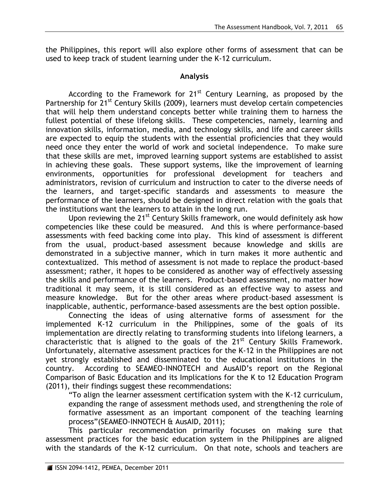the Philippines, this report will also explore other forms of assessment that can be used to keep track of student learning under the K-12 curriculum.

## **Analysis**

According to the Framework for  $21^{st}$  Century Learning, as proposed by the Partnership for 21<sup>st</sup> Century Skills (2009), learners must develop certain competencies that will help them understand concepts better while training them to harness the fullest potential of these lifelong skills. These competencies, namely, learning and innovation skills, information, media, and technology skills, and life and career skills are expected to equip the students with the essential proficiencies that they would need once they enter the world of work and societal independence. To make sure that these skills are met, improved learning support systems are established to assist in achieving these goals. These support systems, like the improvement of learning environments, opportunities for professional development for teachers and administrators, revision of curriculum and instruction to cater to the diverse needs of the learners, and target-specific standards and assessments to measure the performance of the learners, should be designed in direct relation with the goals that the institutions want the learners to attain in the long run.

Upon reviewing the 21<sup>st</sup> Century Skills framework, one would definitely ask how competencies like these could be measured. And this is where performance-based assessments with feed backing come into play. This kind of assessment is different from the usual, product-based assessment because knowledge and skills are demonstrated in a subjective manner, which in turn makes it more authentic and contextualized. This method of assessment is not made to replace the product-based assessment; rather, it hopes to be considered as another way of effectively assessing the skills and performance of the learners. Product-based assessment, no matter how traditional it may seem, it is still considered as an effective way to assess and measure knowledge. But for the other areas where product-based assessment is inapplicable, authentic, performance-based assessments are the best option possible.

Connecting the ideas of using alternative forms of assessment for the implemented K-12 curriculum in the Philippines, some of the goals of its implementation are directly relating to transforming students into lifelong learners, a characteristic that is aligned to the goals of the  $21<sup>st</sup>$  Century Skills Framework. Unfortunately, alternative assessment practices for the K-12 in the Philippines are not yet strongly established and disseminated to the educational institutions in the country. According to SEAMEO-INNOTECH and AusAID's report on the Regional Comparison of Basic Education and its Implications for the K to 12 Education Program (2011), their findings suggest these recommendations:

"To align the learner assessment certification system with the K-12 curriculum, expanding the range of assessment methods used, and strengthening the role of formative assessment as an important component of the teaching learning process"(SEAMEO-INNOTECH & AusAID, 2011);

This particular recommendation primarily focuses on making sure that assessment practices for the basic education system in the Philippines are aligned with the standards of the K-12 curriculum. On that note, schools and teachers are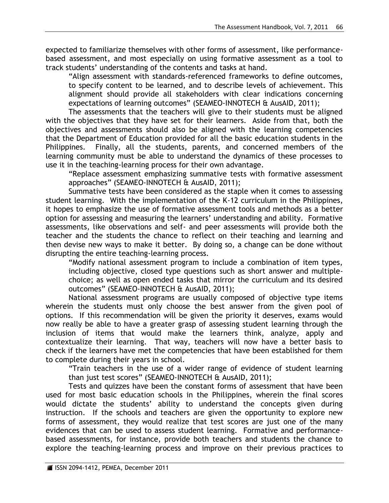expected to familiarize themselves with other forms of assessment, like performancebased assessment, and most especially on using formative assessment as a tool to track students' understanding of the contents and tasks at hand.

"Align assessment with standards-referenced frameworks to define outcomes, to specify content to be learned, and to describe levels of achievement. This alignment should provide all stakeholders with clear indications concerning expectations of learning outcomes" (SEAMEO-INNOTECH & AusAID, 2011);

The assessments that the teachers will give to their students must be aligned with the objectives that they have set for their learners. Aside from that, both the objectives and assessments should also be aligned with the learning competencies that the Department of Education provided for all the basic education students in the Philippines. Finally, all the students, parents, and concerned members of the learning community must be able to understand the dynamics of these processes to use it in the teaching-learning process for their own advantage.

"Replace assessment emphasizing summative tests with formative assessment approaches" (SEAMEO-INNOTECH & AusAID, 2011);

Summative tests have been considered as the staple when it comes to assessing student learning. With the implementation of the K-12 curriculum in the Philippines, it hopes to emphasize the use of formative assessment tools and methods as a better option for assessing and measuring the learners' understanding and ability. Formative assessments, like observations and self- and peer assessments will provide both the teacher and the students the chance to reflect on their teaching and learning and then devise new ways to make it better. By doing so, a change can be done without disrupting the entire teaching-learning process.

"Modify national assessment program to include a combination of item types, including objective, closed type questions such as short answer and multiplechoice; as well as open ended tasks that mirror the curriculum and its desired outcomes" (SEAMEO-INNOTECH & AusAID, 2011);

National assessment programs are usually composed of objective type items wherein the students must only choose the best answer from the given pool of options. If this recommendation will be given the priority it deserves, exams would now really be able to have a greater grasp of assessing student learning through the inclusion of items that would make the learners think, analyze, apply and contextualize their learning. That way, teachers will now have a better basis to check if the learners have met the competencies that have been established for them to complete during their years in school.

"Train teachers in the use of a wider range of evidence of student learning than just test scores" (SEAMEO-INNOTECH & AusAID, 2011);

Tests and quizzes have been the constant forms of assessment that have been used for most basic education schools in the Philippines, wherein the final scores would dictate the students' ability to understand the concepts given during instruction. If the schools and teachers are given the opportunity to explore new forms of assessment, they would realize that test scores are just one of the many evidences that can be used to assess student learning. Formative and performancebased assessments, for instance, provide both teachers and students the chance to explore the teaching-learning process and improve on their previous practices to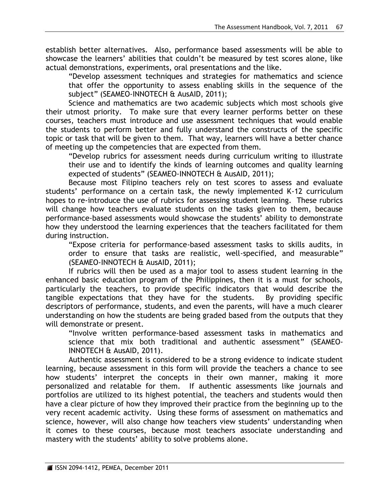establish better alternatives. Also, performance based assessments will be able to showcase the learners' abilities that couldn't be measured by test scores alone, like actual demonstrations, experiments, oral presentations and the like.

"Develop assessment techniques and strategies for mathematics and science that offer the opportunity to assess enabling skills in the sequence of the subject" (SEAMEO-INNOTECH & AusAID, 2011);

Science and mathematics are two academic subjects which most schools give their utmost priority. To make sure that every learner performs better on these courses, teachers must introduce and use assessment techniques that would enable the students to perform better and fully understand the constructs of the specific topic or task that will be given to them. That way, learners will have a better chance of meeting up the competencies that are expected from them.

"Develop rubrics for assessment needs during curriculum writing to illustrate their use and to identify the kinds of learning outcomes and quality learning expected of students" (SEAMEO-INNOTECH & AusAID, 2011);

Because most Filipino teachers rely on test scores to assess and evaluate students' performance on a certain task, the newly implemented K-12 curriculum hopes to re-introduce the use of rubrics for assessing student learning. These rubrics will change how teachers evaluate students on the tasks given to them, because performance-based assessments would showcase the students' ability to demonstrate how they understood the learning experiences that the teachers facilitated for them during instruction.

"Expose criteria for performance-based assessment tasks to skills audits, in order to ensure that tasks are realistic, well-specified, and measurable" (SEAMEO-INNOTECH & AusAID, 2011);

If rubrics will then be used as a major tool to assess student learning in the enhanced basic education program of the Philippines, then it is a must for schools, particularly the teachers, to provide specific indicators that would describe the tangible expectations that they have for the students. By providing specific descriptors of performance, students, and even the parents, will have a much clearer understanding on how the students are being graded based from the outputs that they will demonstrate or present.

"Involve written performance-based assessment tasks in mathematics and science that mix both traditional and authentic assessment" (SEAMEO-INNOTECH & AusAID, 2011).

Authentic assessment is considered to be a strong evidence to indicate student learning, because assessment in this form will provide the teachers a chance to see how students' interpret the concepts in their own manner, making it more personalized and relatable for them. If authentic assessments like journals and portfolios are utilized to its highest potential, the teachers and students would then have a clear picture of how they improved their practice from the beginning up to the very recent academic activity. Using these forms of assessment on mathematics and science, however, will also change how teachers view students' understanding when it comes to these courses, because most teachers associate understanding and mastery with the students' ability to solve problems alone.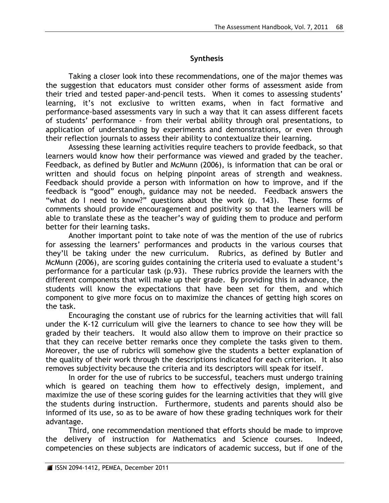## **Synthesis**

Taking a closer look into these recommendations, one of the major themes was the suggestion that educators must consider other forms of assessment aside from their tried and tested paper-and-pencil tests. When it comes to assessing students' learning, it's not exclusive to written exams, when in fact formative and performance-based assessments vary in such a way that it can assess different facets of students' performance - from their verbal ability through oral presentations, to application of understanding by experiments and demonstrations, or even through their reflection journals to assess their ability to contextualize their learning.

Assessing these learning activities require teachers to provide feedback, so that learners would know how their performance was viewed and graded by the teacher. Feedback, as defined by Butler and McMunn (2006), is information that can be oral or written and should focus on helping pinpoint areas of strength and weakness. Feedback should provide a person with information on how to improve, and if the feedback is "good" enough, guidance may not be needed. Feedback answers the "what do I need to know?" questions about the work (p. 143). These forms of comments should provide encouragement and positivity so that the learners will be able to translate these as the teacher's way of guiding them to produce and perform better for their learning tasks.

Another important point to take note of was the mention of the use of rubrics for assessing the learners' performances and products in the various courses that they'll be taking under the new curriculum. Rubrics, as defined by Butler and McMunn (2006), are scoring guides containing the criteria used to evaluate a student's performance for a particular task (p.93). These rubrics provide the learners with the different components that will make up their grade. By providing this in advance, the students will know the expectations that have been set for them, and which component to give more focus on to maximize the chances of getting high scores on the task.

Encouraging the constant use of rubrics for the learning activities that will fall under the K-12 curriculum will give the learners to chance to see how they will be graded by their teachers. It would also allow them to improve on their practice so that they can receive better remarks once they complete the tasks given to them. Moreover, the use of rubrics will somehow give the students a better explanation of the quality of their work through the descriptions indicated for each criterion. It also removes subjectivity because the criteria and its descriptors will speak for itself.

In order for the use of rubrics to be successful, teachers must undergo training which is geared on teaching them how to effectively design, implement, and maximize the use of these scoring guides for the learning activities that they will give the students during instruction. Furthermore, students and parents should also be informed of its use, so as to be aware of how these grading techniques work for their advantage.

Third, one recommendation mentioned that efforts should be made to improve the delivery of instruction for Mathematics and Science courses. Indeed, competencies on these subjects are indicators of academic success, but if one of the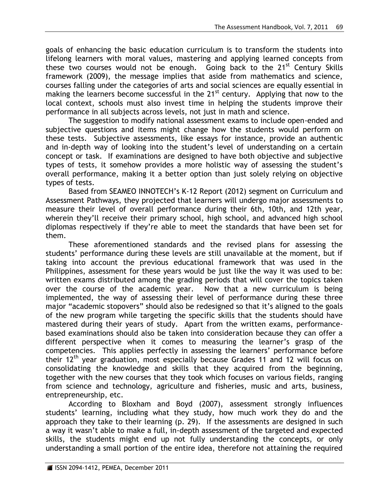goals of enhancing the basic education curriculum is to transform the students into lifelong learners with moral values, mastering and applying learned concepts from these two courses would not be enough. Going back to the 21<sup>st</sup> Century Skills framework (2009), the message implies that aside from mathematics and science, courses falling under the categories of arts and social sciences are equally essential in making the learners become successful in the 21<sup>st</sup> century. Applying that now to the local context, schools must also invest time in helping the students improve their performance in all subjects across levels, not just in math and science.

The suggestion to modify national assessment exams to include open-ended and subjective questions and items might change how the students would perform on these tests. Subjective assessments, like essays for instance, provide an authentic and in-depth way of looking into the student's level of understanding on a certain concept or task. If examinations are designed to have both objective and subjective types of tests, it somehow provides a more holistic way of assessing the student's overall performance, making it a better option than just solely relying on objective types of tests.

Based from SEAMEO INNOTECH's K-12 Report (2012) segment on Curriculum and Assessment Pathways, they projected that learners will undergo major assessments to measure their level of overall performance during their 6th, 10th, and 12th year, wherein they'll receive their primary school, high school, and advanced high school diplomas respectively if they're able to meet the standards that have been set for them.

These aforementioned standards and the revised plans for assessing the students' performance during these levels are still unavailable at the moment, but if taking into account the previous educational framework that was used in the Philippines, assessment for these years would be just like the way it was used to be: written exams distributed among the grading periods that will cover the topics taken over the course of the academic year. Now that a new curriculum is being implemented, the way of assessing their level of performance during these three major "academic stopovers" should also be redesigned so that it's aligned to the goals of the new program while targeting the specific skills that the students should have mastered during their years of study. Apart from the written exams, performancebased examinations should also be taken into consideration because they can offer a different perspective when it comes to measuring the learner's grasp of the competencies. This applies perfectly in assessing the learners' performance before their  $12<sup>th</sup>$  year graduation, most especially because Grades 11 and 12 will focus on consolidating the knowledge and skills that they acquired from the beginning, together with the new courses that they took which focuses on various fields, ranging from science and technology, agriculture and fisheries, music and arts, business, entrepreneurship, etc.

According to Bloxham and Boyd (2007), assessment strongly influences students' learning, including what they study, how much work they do and the approach they take to their learning (p. 29). If the assessments are designed in such a way it wasn't able to make a full, in-depth assessment of the targeted and expected skills, the students might end up not fully understanding the concepts, or only understanding a small portion of the entire idea, therefore not attaining the required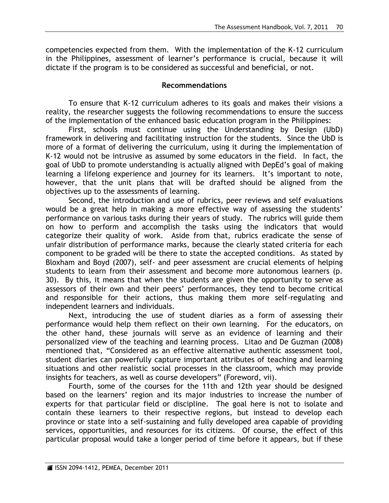competencies expected from them. With the implementation of the K-12 curriculum in the Philippines, assessment of learner's performance is crucial, because it will dictate if the program is to be considered as successful and beneficial, or not.

## **Recommendations**

To ensure that K-12 curriculum adheres to its goals and makes their visions a reality, the researcher suggests the following recommendations to ensure the success of the implementation of the enhanced basic education program in the Philippines:

First, schools must continue using the Understanding by Design (UbD) framework in delivering and facilitating instruction for the students. Since the UbD is more of a format of delivering the curriculum, using it during the implementation of K-12 would not be intrusive as assumed by some educators in the field. In fact, the goal of UbD to promote understanding is actually aligned with DepEd's goal of making learning a lifelong experience and journey for its learners. It's important to note, however, that the unit plans that will be drafted should be aligned from the objectives up to the assessments of learning.

Second, the introduction and use of rubrics, peer reviews and self evaluations would be a great help in making a more effective way of assessing the students' performance on various tasks during their years of study. The rubrics will guide them on how to perform and accomplish the tasks using the indicators that would categorize their quality of work. Aside from that, rubrics eradicate the sense of unfair distribution of performance marks, because the clearly stated criteria for each component to be graded will be there to state the accepted conditions. As stated by Bloxham and Boyd (2007), self- and peer assessment are crucial elements of helping students to learn from their assessment and become more autonomous learners (p. 30). By this, it means that when the students are given the opportunity to serve as assessors of their own and their peers' performances, they tend to become critical and responsible for their actions, thus making them more self-regulating and independent learners and individuals.

Next, introducing the use of student diaries as a form of assessing their performance would help them reflect on their own learning. For the educators, on the other hand, these journals will serve as an evidence of learning and their personalized view of the teaching and learning process. Litao and De Guzman (2008) mentioned that, "Considered as an effective alternative authentic assessment tool, student diaries can powerfully capture important attributes of teaching and learning situations and other realistic social processes in the classroom, which may provide insights for teachers, as well as course developers" (Foreword, vii).

Fourth, some of the courses for the 11th and 12th year should be designed based on the learners' region and its major industries to increase the number of experts for that particular field or discipline. The goal here is not to isolate and contain these learners to their respective regions, but instead to develop each province or state into a self-sustaining and fully developed area capable of providing services, opportunities, and resources for its citizens. Of course, the effect of this particular proposal would take a longer period of time before it appears, but if these